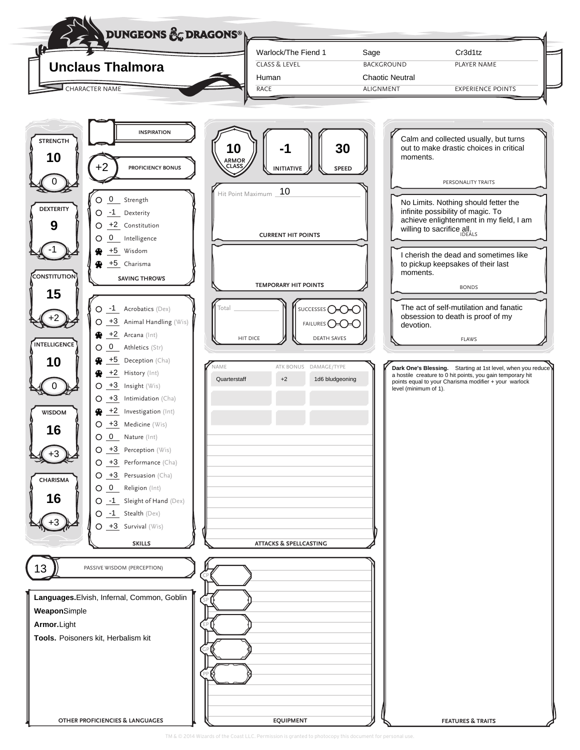| t<br><b>Unclaus Thalmora</b>                                                                                                                                                                                                                                                                                                                                                                                                                       | Warlock/The Fiend 1<br><b>CLASS &amp; LEVEL</b><br>Human                                 | Sage<br><b>BACKGROUND</b><br><b>Chaotic Neutral</b> | Cr3d1tz<br>PLAYER NAME                                                                                                                                                             |
|----------------------------------------------------------------------------------------------------------------------------------------------------------------------------------------------------------------------------------------------------------------------------------------------------------------------------------------------------------------------------------------------------------------------------------------------------|------------------------------------------------------------------------------------------|-----------------------------------------------------|------------------------------------------------------------------------------------------------------------------------------------------------------------------------------------|
| <b>CHARACTER NAME</b>                                                                                                                                                                                                                                                                                                                                                                                                                              | RACE                                                                                     | <b>ALIGNMENT</b>                                    | <b>EXPERIENCE POINTS</b>                                                                                                                                                           |
| <b>INSPIRATION</b><br><b>STRENGTH</b><br>10<br>+2<br>PROFICIENCY BONUS                                                                                                                                                                                                                                                                                                                                                                             | 10<br><b>ARMOR</b><br><b>CLASS</b><br><b>INITIATIVE</b>                                  | 30<br>moments.<br><b>SPEED</b>                      | Calm and collected usually, but turns<br>out to make drastic choices in critical<br>PERSONALITY TRAITS                                                                             |
| $\underline{0}$ Strength<br><b>DEXTERITY</b><br>-1 Dexterity<br>9<br>+2 Constitution<br>O<br>$0$ Intelligence<br>Ő                                                                                                                                                                                                                                                                                                                                 | Hit Point Maximum _ 10<br><b>CURRENT HIT POINTS</b>                                      |                                                     | No Limits. Nothing should fetter the<br>infinite possibility of magic. To<br>achieve enlightenment in my field, I am<br>willing to sacrifice all.                                  |
| +5 Wisdom<br>+5 Charisma<br><b>CONSTITUTION</b><br><b>SAVING THROWS</b><br>15                                                                                                                                                                                                                                                                                                                                                                      | <b>TEMPORARY HIT POINTS</b>                                                              | moments.                                            | I cherish the dead and sometimes like<br>to pickup keepsakes of their last<br><b>BONDS</b>                                                                                         |
| $O -1$ Acrobatics (Dex)<br>$O$ $\rightarrow$ 3 Animal Handling (Wis)<br>$\bigoplus$ +2 Arcana (Int)<br><b>INTELLIGENCE</b><br>$0$ <sub>_</sub> Athletics (Str)<br>O                                                                                                                                                                                                                                                                                | Total<br>SUCCESSES $\bigcirc$<br>FAILURES <b>CHCHC</b><br>HIT DICE<br><b>DEATH SAVES</b> | devotion.                                           | The act of self-mutilation and fanatic<br>obsession to death is proof of my<br><b>FLAWS</b>                                                                                        |
| $+5$ Deception (Cha)<br>10<br>$+2$ History (Int)<br>⊛<br>$+3$ Insight (Wis)<br>O.<br>$+3$ Intimidation (Cha)<br>Ő<br>$\bigoplus$ $+2$ Investigation (Int)<br><b>WISDOM</b><br>$O$ +3 Medicine (Wis)<br>16<br>$O_0$ $O_1$ Nature (Int)<br>$O$ $\rightarrow$ 3 Perception (Wis)<br>O +3 Performance (Cha)<br>$O \rightarrow 3$ Persuasion (Cha)<br><b>CHARISMA</b><br>O O Religion (Int)<br>16<br>$O -1$ Sleight of Hand (Dex)<br>O -1 Stealth (Dex) | <b>JAME</b><br>ATK BONUS DAMAGE/TYPE<br>1d6 bludgeoning<br>Quarterstaff<br>$+2$          | level (minimum of 1).                               | Dark One's Blessing. Starting at 1st level, when you reduce<br>a hostile creature to 0 hit points, you gain temporary hit<br>points equal to your Charisma modifier + your warlock |
| $O \t -3$ Survival (Wis)<br><b>SKILLS</b>                                                                                                                                                                                                                                                                                                                                                                                                          | <b>ATTACKS &amp; SPELLCASTING</b>                                                        |                                                     |                                                                                                                                                                                    |
| PASSIVE WISDOM (PERCEPTION)<br>Languages. Elvish, Infernal, Common, Goblin<br>WeaponSimple<br>Armor. Light                                                                                                                                                                                                                                                                                                                                         |                                                                                          |                                                     |                                                                                                                                                                                    |
| Tools. Poisoners kit, Herbalism kit                                                                                                                                                                                                                                                                                                                                                                                                                |                                                                                          |                                                     |                                                                                                                                                                                    |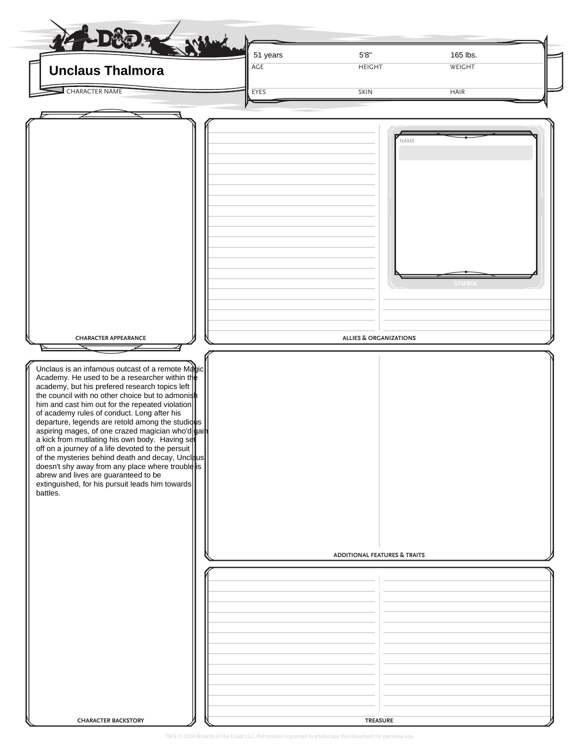| <b>Unclaus Thalmora</b>                                                                                                                                                                                                                                                                                                                                                                                                                                                                                                                                                                                                                                                                                                                                                   | 51 years<br>$\overline{\mathsf{AGE}}$ | $5'8"$<br><b>HEIGHT</b>                                                              | 165 lbs.<br>WEIGHT |  |
|---------------------------------------------------------------------------------------------------------------------------------------------------------------------------------------------------------------------------------------------------------------------------------------------------------------------------------------------------------------------------------------------------------------------------------------------------------------------------------------------------------------------------------------------------------------------------------------------------------------------------------------------------------------------------------------------------------------------------------------------------------------------------|---------------------------------------|--------------------------------------------------------------------------------------|--------------------|--|
| <b>CHARACTER NAME</b>                                                                                                                                                                                                                                                                                                                                                                                                                                                                                                                                                                                                                                                                                                                                                     | EYES                                  | SKIN                                                                                 | <b>HAIR</b>        |  |
| <b>CHARACTER APPEARANCE</b><br>Unclaus is an infamous outcast of a remote Mabic<br>Academy. He used to be a researcher within the<br>academy, but his prefered research topics left<br>the council with no other choice but to admonish<br>him and cast him out for the repeated violation<br>of academy rules of conduct. Long after his<br>departure, legends are retold among the studique<br>aspiring mages, of one crazed magician who'd bain<br>a kick from mutilating his own body. Having set<br>off on a journey of a life devoted to the persuit<br>of the mysteries behind death and decay, Uncleus<br>doesn't shy away from any place where trouble is<br>abrew and lives are guaranteed to be<br>extinguished, for his pursuit leads him towards<br>battles. |                                       | NAME<br><b>ALLIES &amp; ORGANIZATIONS</b><br><b>ADDITIONAL FEATURES &amp; TRAITS</b> | <b>SYMBOL</b>      |  |
|                                                                                                                                                                                                                                                                                                                                                                                                                                                                                                                                                                                                                                                                                                                                                                           |                                       |                                                                                      |                    |  |
|                                                                                                                                                                                                                                                                                                                                                                                                                                                                                                                                                                                                                                                                                                                                                                           |                                       |                                                                                      |                    |  |
|                                                                                                                                                                                                                                                                                                                                                                                                                                                                                                                                                                                                                                                                                                                                                                           |                                       |                                                                                      |                    |  |
|                                                                                                                                                                                                                                                                                                                                                                                                                                                                                                                                                                                                                                                                                                                                                                           |                                       |                                                                                      |                    |  |
| <b>CHARACTER BACKSTORY</b>                                                                                                                                                                                                                                                                                                                                                                                                                                                                                                                                                                                                                                                                                                                                                |                                       | <b>TREASURE</b>                                                                      |                    |  |

TM & © 2014 Wizards of the Coast LLC. Permission is granted to photocopy this document for personal use.